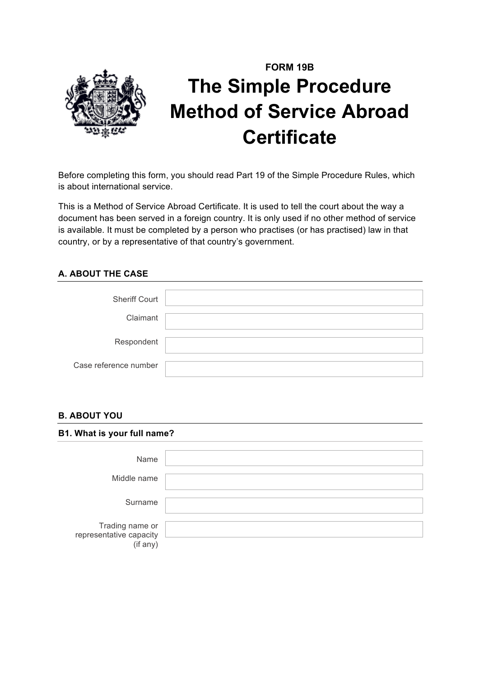

# **FORM 19B The Simple Procedure Method of Service Abroad Certificate**

Before completing this form, you should read Part 19 of the Simple Procedure Rules, which is about international service.

This is a Method of Service Abroad Certificate. It is used to tell the court about the way a document has been served in a foreign country. It is only used if no other method of service is available. It must be completed by a person who practises (or has practised) law in that country, or by a representative of that country's government.

### **A. ABOUT THE CASE**

| <b>Sheriff Court</b>  |  |
|-----------------------|--|
| Claimant              |  |
| Respondent            |  |
| Case reference number |  |

### **B. ABOUT YOU**

| B1. What is your full name?                            |  |  |
|--------------------------------------------------------|--|--|
| Name                                                   |  |  |
| Middle name                                            |  |  |
| Surname                                                |  |  |
| Trading name or<br>representative capacity<br>(if any) |  |  |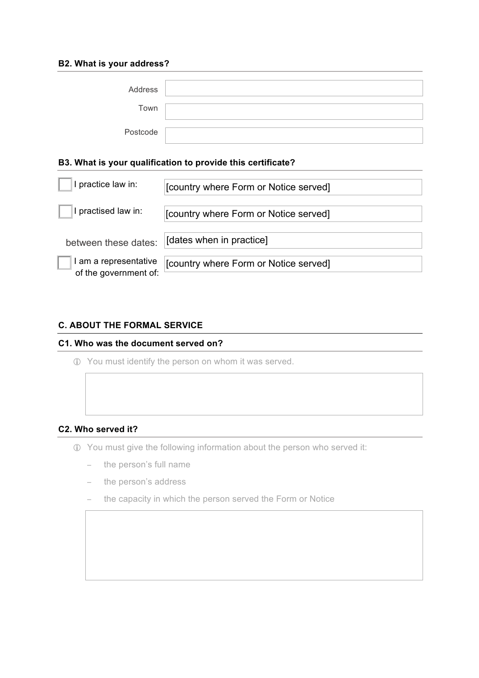#### **B2. What is your address?**

| Address  |  |
|----------|--|
| Town     |  |
| Postcode |  |

#### **B3. What is your qualification to provide this certificate?**

| I practice law in:                             | [country where Form or Notice served] |
|------------------------------------------------|---------------------------------------|
| I practised law in:                            | [country where Form or Notice served] |
| between these dates:                           | [dates when in practice]              |
| I am a representative<br>of the government of: | [country where Form or Notice served] |

### **C. ABOUT THE FORMAL SERVICE**

#### **C1. Who was the document served on?**

! You must identify the person on whom it was served.

## **C2. Who served it?**

- ! You must give the following information about the person who served it:
	- − the person's full name
	- − the person's address
	- − the capacity in which the person served the Form or Notice